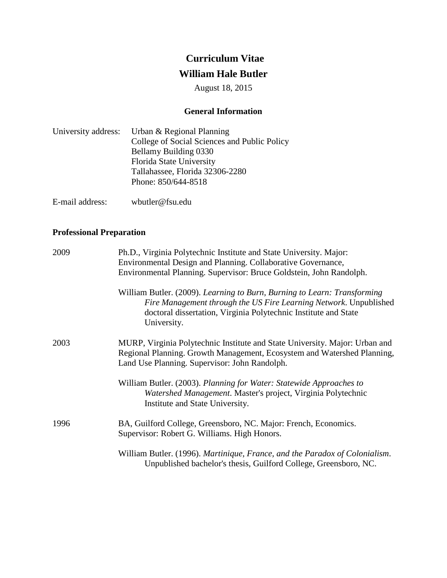# **Curriculum Vitae William Hale Butler**

August 18, 2015

# **General Information**

| University address: | Urban & Regional Planning                    |
|---------------------|----------------------------------------------|
|                     | College of Social Sciences and Public Policy |
|                     | Bellamy Building 0330                        |
|                     | Florida State University                     |
|                     | Tallahassee, Florida 32306-2280              |
|                     | Phone: 850/644-8518                          |
|                     |                                              |

E-mail address: wbutler@fsu.edu

# **Professional Preparation**

| 2009 | Ph.D., Virginia Polytechnic Institute and State University. Major:<br>Environmental Design and Planning. Collaborative Governance,<br>Environmental Planning. Supervisor: Bruce Goldstein, John Randolph.                       |
|------|---------------------------------------------------------------------------------------------------------------------------------------------------------------------------------------------------------------------------------|
|      | William Butler. (2009). Learning to Burn, Burning to Learn: Transforming<br>Fire Management through the US Fire Learning Network. Unpublished<br>doctoral dissertation, Virginia Polytechnic Institute and State<br>University. |
| 2003 | MURP, Virginia Polytechnic Institute and State University. Major: Urban and<br>Regional Planning. Growth Management, Ecosystem and Watershed Planning,<br>Land Use Planning. Supervisor: John Randolph.                         |
|      | William Butler. (2003). Planning for Water: Statewide Approaches to<br>Watershed Management. Master's project, Virginia Polytechnic<br>Institute and State University.                                                          |
| 1996 | BA, Guilford College, Greensboro, NC. Major: French, Economics.<br>Supervisor: Robert G. Williams. High Honors.                                                                                                                 |
|      | William Butler. (1996). Martinique, France, and the Paradox of Colonialism.<br>Unpublished bachelor's thesis, Guilford College, Greensboro, NC.                                                                                 |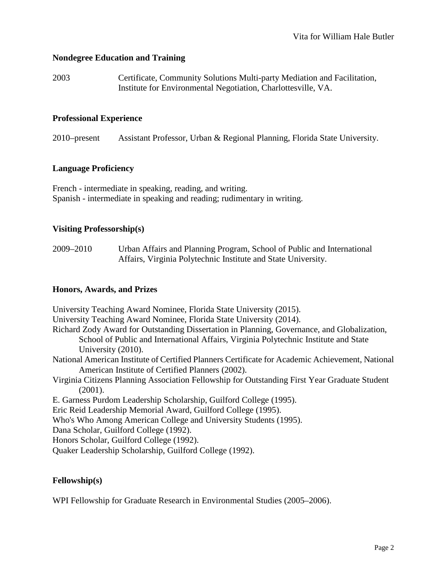# **Nondegree Education and Training**

2003 Certificate, Community Solutions Multi-party Mediation and Facilitation, Institute for Environmental Negotiation, Charlottesville, VA.

## **Professional Experience**

2010–present Assistant Professor, Urban & Regional Planning, Florida State University.

#### **Language Proficiency**

French - intermediate in speaking, reading, and writing. Spanish - intermediate in speaking and reading; rudimentary in writing.

## **Visiting Professorship(s)**

2009–2010 Urban Affairs and Planning Program, School of Public and International Affairs, Virginia Polytechnic Institute and State University.

#### **Honors, Awards, and Prizes**

University Teaching Award Nominee, Florida State University (2015). University Teaching Award Nominee, Florida State University (2014). Richard Zody Award for Outstanding Dissertation in Planning, Governance, and Globalization, School of Public and International Affairs, Virginia Polytechnic Institute and State University (2010). National American Institute of Certified Planners Certificate for Academic Achievement, National American Institute of Certified Planners (2002). Virginia Citizens Planning Association Fellowship for Outstanding First Year Graduate Student (2001). E. Garness Purdom Leadership Scholarship, Guilford College (1995). Eric Reid Leadership Memorial Award, Guilford College (1995). Who's Who Among American College and University Students (1995). Dana Scholar, Guilford College (1992). Honors Scholar, Guilford College (1992). Quaker Leadership Scholarship, Guilford College (1992).

## **Fellowship(s)**

WPI Fellowship for Graduate Research in Environmental Studies (2005–2006).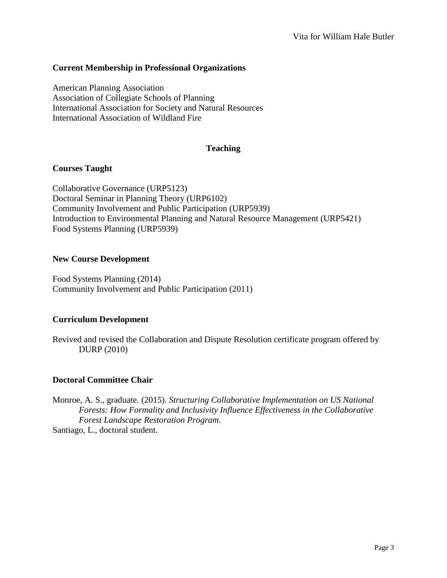# **Current Membership in Professional Organizations**

American Planning Association Association of Collegiate Schools of Planning International Association for Society and Natural Resources International Association of Wildland Fire

#### **Teaching**

## **Courses Taught**

Collaborative Governance (URP5123) Doctoral Seminar in Planning Theory (URP6102) Community Involvement and Public Participation (URP5939) Introduction to Environmental Planning and Natural Resource Management (URP5421) Food Systems Planning (URP5939)

#### **New Course Development**

Food Systems Planning (2014) Community Involvement and Public Participation (2011)

## **Curriculum Development**

Revived and revised the Collaboration and Dispute Resolution certificate program offered by DURP (2010)

## **Doctoral Committee Chair**

Monroe, A. S., graduate. (2015). *Structuring Collaborative Implementation on US National Forests: How Formality and Inclusivity Influence Effectiveness in the Collaborative Forest Landscape Restoration Program*. Santiago, L., doctoral student.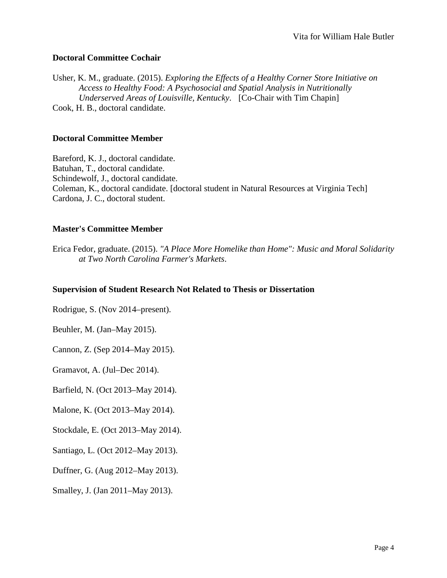# **Doctoral Committee Cochair**

Usher, K. M., graduate. (2015). *Exploring the Effects of a Healthy Corner Store Initiative on Access to Healthy Food: A Psychosocial and Spatial Analysis in Nutritionally Underserved Areas of Louisville, Kentucky*. [Co-Chair with Tim Chapin] Cook, H. B., doctoral candidate.

#### **Doctoral Committee Member**

Bareford, K. J., doctoral candidate. Batuhan, T., doctoral candidate. Schindewolf, J., doctoral candidate. Coleman, K., doctoral candidate. [doctoral student in Natural Resources at Virginia Tech] Cardona, J. C., doctoral student.

## **Master's Committee Member**

Erica Fedor, graduate. (2015). *"A Place More Homelike than Home": Music and Moral Solidarity at Two North Carolina Farmer's Markets*.

#### **Supervision of Student Research Not Related to Thesis or Dissertation**

Rodrigue, S. (Nov 2014–present).

Beuhler, M. (Jan–May 2015).

Cannon, Z. (Sep 2014–May 2015).

Gramavot, A. (Jul–Dec 2014).

Barfield, N. (Oct 2013–May 2014).

Malone, K. (Oct 2013–May 2014).

Stockdale, E. (Oct 2013–May 2014).

Santiago, L. (Oct 2012–May 2013).

Duffner, G. (Aug 2012–May 2013).

Smalley, J. (Jan 2011–May 2013).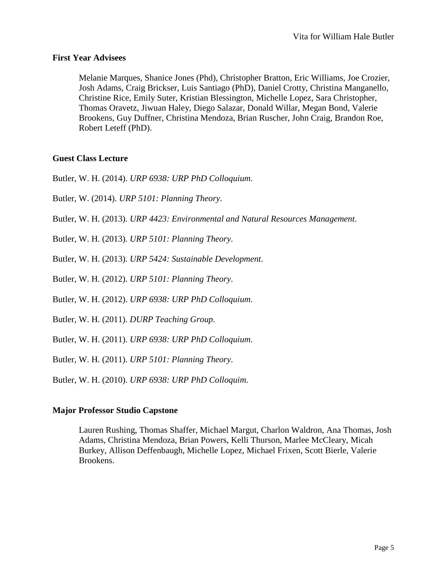## **First Year Advisees**

Melanie Marques, Shanice Jones (Phd), Christopher Bratton, Eric Williams, Joe Crozier, Josh Adams, Craig Brickser, Luis Santiago (PhD), Daniel Crotty, Christina Manganello, Christine Rice, Emily Suter, Kristian Blessington, Michelle Lopez, Sara Christopher, Thomas Oravetz, Jiwuan Haley, Diego Salazar, Donald Willar, Megan Bond, Valerie Brookens, Guy Duffner, Christina Mendoza, Brian Ruscher, John Craig, Brandon Roe, Robert Leteff (PhD).

# **Guest Class Lecture**

Butler, W. H. (2014). *URP 6938: URP PhD Colloquium*.

Butler, W. (2014). *URP 5101: Planning Theory*.

Butler, W. H. (2013). *URP 4423: Environmental and Natural Resources Management*.

Butler, W. H. (2013). *URP 5101: Planning Theory*.

Butler, W. H. (2013). *URP 5424: Sustainable Development*.

Butler, W. H. (2012). *URP 5101: Planning Theory*.

Butler, W. H. (2012). *URP 6938: URP PhD Colloquium*.

Butler, W. H. (2011). *DURP Teaching Group*.

Butler, W. H. (2011). *URP 6938: URP PhD Colloquium*.

Butler, W. H. (2011). *URP 5101: Planning Theory*.

Butler, W. H. (2010). *URP 6938: URP PhD Colloquim*.

## **Major Professor Studio Capstone**

Lauren Rushing, Thomas Shaffer, Michael Margut, Charlon Waldron, Ana Thomas, Josh Adams, Christina Mendoza, Brian Powers, Kelli Thurson, Marlee McCleary, Micah Burkey, Allison Deffenbaugh, Michelle Lopez, Michael Frixen, Scott Bierle, Valerie Brookens.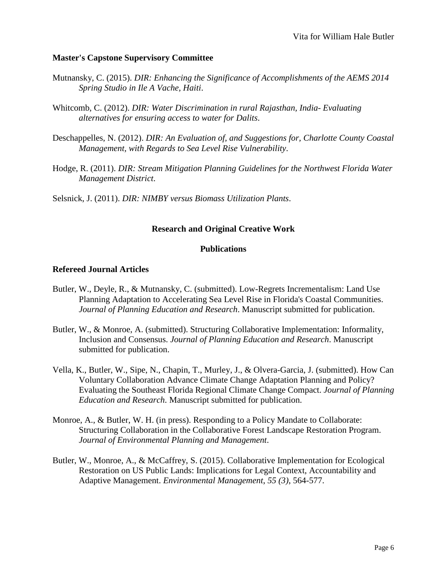## **Master's Capstone Supervisory Committee**

- Mutnansky, C. (2015). *DIR: Enhancing the Significance of Accomplishments of the AEMS 2014 Spring Studio in Ile A Vache, Haiti*.
- Whitcomb, C. (2012). *DIR: Water Discrimination in rural Rajasthan, India- Evaluating alternatives for ensuring access to water for Dalits*.
- Deschappelles, N. (2012). *DIR: An Evaluation of, and Suggestions for, Charlotte County Coastal Management, with Regards to Sea Level Rise Vulnerability*.
- Hodge, R. (2011). *DIR: Stream Mitigation Planning Guidelines for the Northwest Florida Water Management District*.

Selsnick, J. (2011). *DIR: NIMBY versus Biomass Utilization Plants*.

# **Research and Original Creative Work**

## **Publications**

## **Refereed Journal Articles**

- Butler, W., Deyle, R., & Mutnansky, C. (submitted). Low-Regrets Incrementalism: Land Use Planning Adaptation to Accelerating Sea Level Rise in Florida's Coastal Communities. *Journal of Planning Education and Research*. Manuscript submitted for publication.
- Butler, W., & Monroe, A. (submitted). Structuring Collaborative Implementation: Informality, Inclusion and Consensus. *Journal of Planning Education and Research*. Manuscript submitted for publication.
- Vella, K., Butler, W., Sipe, N., Chapin, T., Murley, J., & Olvera-Garcia, J. (submitted). How Can Voluntary Collaboration Advance Climate Change Adaptation Planning and Policy? Evaluating the Southeast Florida Regional Climate Change Compact. *Journal of Planning Education and Research*. Manuscript submitted for publication.
- Monroe, A., & Butler, W. H. (in press). Responding to a Policy Mandate to Collaborate: Structuring Collaboration in the Collaborative Forest Landscape Restoration Program. *Journal of Environmental Planning and Management*.
- Butler, W., Monroe, A., & McCaffrey, S. (2015). Collaborative Implementation for Ecological Restoration on US Public Lands: Implications for Legal Context, Accountability and Adaptive Management. *Environmental Management*, *55 (3)*, 564-577.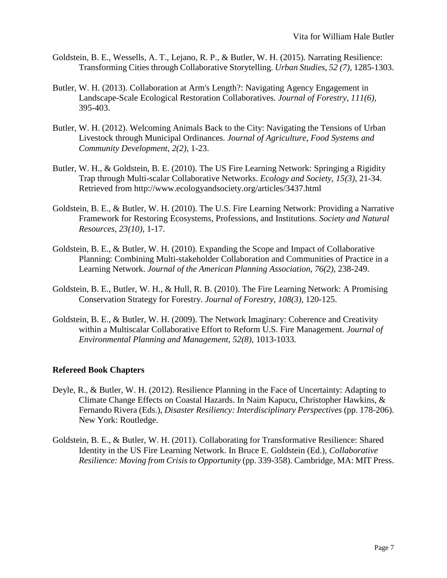- Goldstein, B. E., Wessells, A. T., Lejano, R. P., & Butler, W. H. (2015). Narrating Resilience: Transforming Cities through Collaborative Storytelling. *Urban Studies*, *52 (7)*, 1285-1303.
- Butler, W. H. (2013). Collaboration at Arm's Length?: Navigating Agency Engagement in Landscape-Scale Ecological Restoration Collaboratives. *Journal of Forestry*, *111(6)*, 395-403.
- Butler, W. H. (2012). Welcoming Animals Back to the City: Navigating the Tensions of Urban Livestock through Municipal Ordinances. *Journal of Agriculture, Food Systems and Community Development*, *2(2)*, 1-23.
- Butler, W. H., & Goldstein, B. E. (2010). The US Fire Learning Network: Springing a Rigidity Trap through Multi-scalar Collaborative Networks. *Ecology and Society*, *15(3)*, 21-34. Retrieved from<http://www.ecologyandsociety.org/articles/3437.html>
- Goldstein, B. E., & Butler, W. H. (2010). The U.S. Fire Learning Network: Providing a Narrative Framework for Restoring Ecosystems, Professions, and Institutions. *Society and Natural Resources*, *23(10)*, 1-17.
- Goldstein, B. E., & Butler, W. H. (2010). Expanding the Scope and Impact of Collaborative Planning: Combining Multi-stakeholder Collaboration and Communities of Practice in a Learning Network. *Journal of the American Planning Association*, *76(2)*, 238-249.
- Goldstein, B. E., Butler, W. H., & Hull, R. B. (2010). The Fire Learning Network: A Promising Conservation Strategy for Forestry. *Journal of Forestry*, *108(3)*, 120-125.
- Goldstein, B. E., & Butler, W. H. (2009). The Network Imaginary: Coherence and Creativity within a Multiscalar Collaborative Effort to Reform U.S. Fire Management. *Journal of Environmental Planning and Management*, *52(8)*, 1013-1033.

# **Refereed Book Chapters**

- Deyle, R., & Butler, W. H. (2012). Resilience Planning in the Face of Uncertainty: Adapting to Climate Change Effects on Coastal Hazards. In Naim Kapucu, Christopher Hawkins, & Fernando Rivera (Eds.), *Disaster Resiliency: Interdisciplinary Perspectives* (pp. 178-206). New York: Routledge.
- Goldstein, B. E., & Butler, W. H. (2011). Collaborating for Transformative Resilience: Shared Identity in the US Fire Learning Network. In Bruce E. Goldstein (Ed.), *Collaborative Resilience: Moving from Crisis to Opportunity* (pp. 339-358). Cambridge, MA: MIT Press.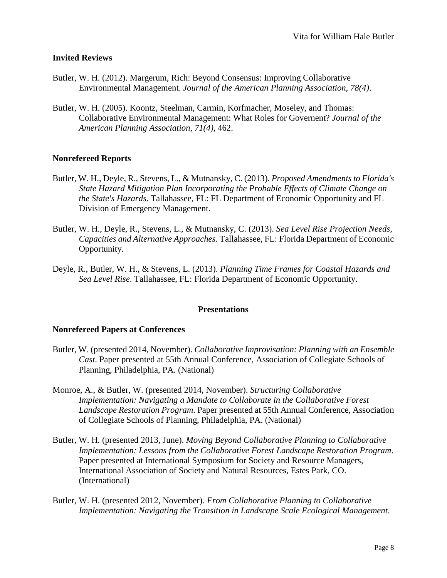## **Invited Reviews**

- Butler, W. H. (2012). Margerum, Rich: Beyond Consensus: Improving Collaborative Environmental Management. *Journal of the American Planning Association*, *78(4)*.
- Butler, W. H. (2005). Koontz, Steelman, Carmin, Korfmacher, Moseley, and Thomas: Collaborative Environmental Management: What Roles for Governent? *Journal of the American Planning Association*, *71(4)*, 462.

# **Nonrefereed Reports**

- Butler, W. H., Deyle, R., Stevens, L., & Mutnansky, C. (2013). *Proposed Amendments to Florida's State Hazard Mitigation Plan Incorporating the Probable Effects of Climate Change on the State's Hazards*. Tallahassee, FL: FL Department of Economic Opportunity and FL Division of Emergency Management.
- Butler, W. H., Deyle, R., Stevens, L., & Mutnansky, C. (2013). *Sea Level Rise Projection Needs, Capacities and Alternative Approaches*. Tallahassee, FL: Florida Department of Economic Opportunity.
- Deyle, R., Butler, W. H., & Stevens, L. (2013). *Planning Time Frames for Coastal Hazards and Sea Level Rise*. Tallahassee, FL: Florida Department of Economic Opportunity.

## **Presentations**

#### **Nonrefereed Papers at Conferences**

- Butler, W. (presented 2014, November). *Collaborative Improvisation: Planning with an Ensemble Cast*. Paper presented at 55th Annual Conference, Association of Collegiate Schools of Planning, Philadelphia, PA. (National)
- Monroe, A., & Butler, W. (presented 2014, November). *Structuring Collaborative Implementation: Navigating a Mandate to Collaborate in the Collaborative Forest Landscape Restoration Program*. Paper presented at 55th Annual Conference, Association of Collegiate Schools of Planning, Philadelphia, PA. (National)
- Butler, W. H. (presented 2013, June). *Moving Beyond Collaborative Planning to Collaborative Implementation: Lessons from the Collaborative Forest Landscape Restoration Program*. Paper presented at International Symposium for Society and Resource Managers, International Association of Society and Natural Resources, Estes Park, CO. (International)
- Butler, W. H. (presented 2012, November). *From Collaborative Planning to Collaborative Implementation: Navigating the Transition in Landscape Scale Ecological Management*.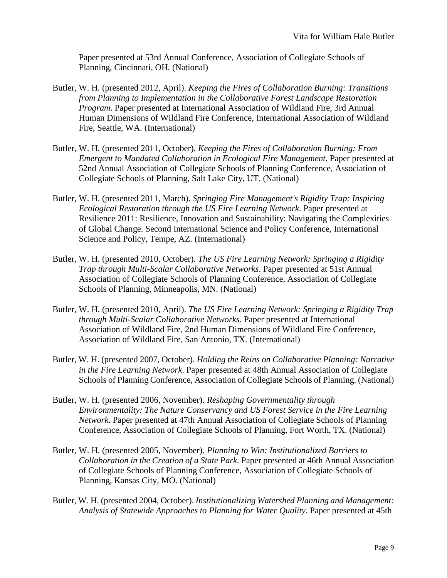Paper presented at 53rd Annual Conference, Association of Collegiate Schools of Planning, Cincinnati, OH. (National)

- Butler, W. H. (presented 2012, April). *Keeping the Fires of Collaboration Burning: Transitions from Planning to Implementation in the Collaborative Forest Landscape Restoration Program*. Paper presented at International Association of Wildland Fire, 3rd Annual Human Dimensions of Wildland Fire Conference, International Association of Wildland Fire, Seattle, WA. (International)
- Butler, W. H. (presented 2011, October). *Keeping the Fires of Collaboration Burning: From Emergent to Mandated Collaboration in Ecological Fire Management*. Paper presented at 52nd Annual Association of Collegiate Schools of Planning Conference, Association of Collegiate Schools of Planning, Salt Lake City, UT. (National)
- Butler, W. H. (presented 2011, March). *Springing Fire Management's Rigidity Trap: Inspiring Ecological Restoration through the US Fire Learning Network*. Paper presented at Resilience 2011: Resilience, Innovation and Sustainability: Navigating the Complexities of Global Change. Second International Science and Policy Conference, International Science and Policy, Tempe, AZ. (International)
- Butler, W. H. (presented 2010, October). *The US Fire Learning Network: Springing a Rigidity Trap through Multi-Scalar Collaborative Networks*. Paper presented at 51st Annual Association of Collegiate Schools of Planning Conference, Association of Collegiate Schools of Planning, Minneapolis, MN. (National)
- Butler, W. H. (presented 2010, April). *The US Fire Learning Network: Springing a Rigidity Trap through Multi-Scalar Collaborative Networks*. Paper presented at International Association of Wildland Fire, 2nd Human Dimensions of Wildland Fire Conference, Association of Wildland Fire, San Antonio, TX. (International)
- Butler, W. H. (presented 2007, October). *Holding the Reins on Collaborative Planning: Narrative in the Fire Learning Network*. Paper presented at 48th Annual Association of Collegiate Schools of Planning Conference, Association of Collegiate Schools of Planning. (National)
- Butler, W. H. (presented 2006, November). *Reshaping Governmentality through Environmentality: The Nature Conservancy and US Forest Service in the Fire Learning Network*. Paper presented at 47th Annual Association of Collegiate Schools of Planning Conference, Association of Collegiate Schools of Planning, Fort Worth, TX. (National)
- Butler, W. H. (presented 2005, November). *Planning to Win: Institutionalized Barriers to Collaboration in the Creation of a State Park*. Paper presented at 46th Annual Association of Collegiate Schools of Planning Conference, Association of Collegiate Schools of Planning, Kansas City, MO. (National)
- Butler, W. H. (presented 2004, October). *Institutionalizing Watershed Planning and Management: Analysis of Statewide Approaches to Planning for Water Quality*. Paper presented at 45th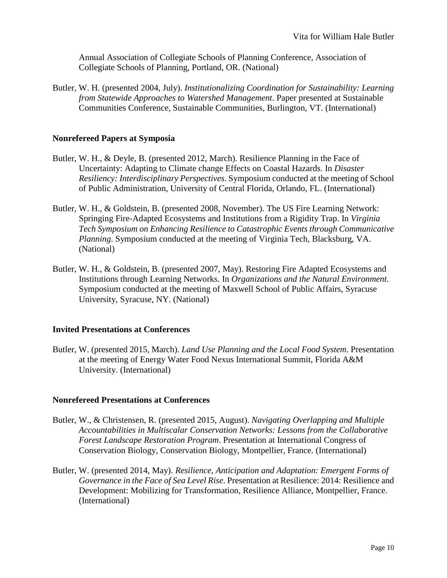Annual Association of Collegiate Schools of Planning Conference, Association of Collegiate Schools of Planning, Portland, OR. (National)

Butler, W. H. (presented 2004, July). *Institutionalizing Coordination for Sustainability: Learning from Statewide Approaches to Watershed Management*. Paper presented at Sustainable Communities Conference, Sustainable Communities, Burlington, VT. (International)

#### **Nonrefereed Papers at Symposia**

- Butler, W. H., & Deyle, B. (presented 2012, March). Resilience Planning in the Face of Uncertainty: Adapting to Climate change Effects on Coastal Hazards. In *Disaster Resiliency: Interdisciplinary Perspectives*. Symposium conducted at the meeting of School of Public Administration, University of Central Florida, Orlando, FL. (International)
- Butler, W. H., & Goldstein, B. (presented 2008, November). The US Fire Learning Network: Springing Fire-Adapted Ecosystems and Institutions from a Rigidity Trap. In *Virginia Tech Symposium on Enhancing Resilience to Catastrophic Events through Communicative Planning*. Symposium conducted at the meeting of Virginia Tech, Blacksburg, VA. (National)
- Butler, W. H., & Goldstein, B. (presented 2007, May). Restoring Fire Adapted Ecosystems and Institutions through Learning Networks. In *Organizations and the Natural Environment*. Symposium conducted at the meeting of Maxwell School of Public Affairs, Syracuse University, Syracuse, NY. (National)

#### **Invited Presentations at Conferences**

Butler, W. (presented 2015, March). *Land Use Planning and the Local Food System*. Presentation at the meeting of Energy Water Food Nexus International Summit, Florida A&M University. (International)

#### **Nonrefereed Presentations at Conferences**

- Butler, W., & Christensen, R. (presented 2015, August). *Navigating Overlapping and Multiple Accountabilities in Multiscalar Conservation Networks: Lessons from the Collaborative Forest Landscape Restoration Program*. Presentation at International Congress of Conservation Biology, Conservation Biology, Montpellier, France. (International)
- Butler, W. (presented 2014, May). *Resilience, Anticipation and Adaptation: Emergent Forms of Governance in the Face of Sea Level Rise*. Presentation at Resilience: 2014: Resilience and Development: Mobilizing for Transformation, Resilience Alliance, Montpellier, France. (International)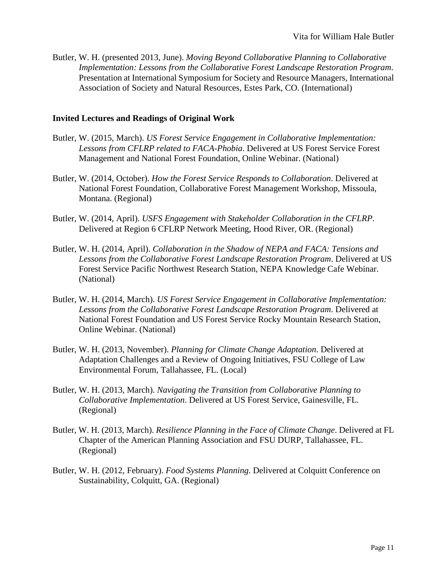Butler, W. H. (presented 2013, June). *Moving Beyond Collaborative Planning to Collaborative Implementation: Lessons from the Collaborative Forest Landscape Restoration Program*. Presentation at International Symposium for Society and Resource Managers, International Association of Society and Natural Resources, Estes Park, CO. (International)

#### **Invited Lectures and Readings of Original Work**

- Butler, W. (2015, March). *US Forest Service Engagement in Collaborative Implementation: Lessons from CFLRP related to FACA-Phobia*. Delivered at US Forest Service Forest Management and National Forest Foundation, Online Webinar. (National)
- Butler, W. (2014, October). *How the Forest Service Responds to Collaboration*. Delivered at National Forest Foundation, Collaborative Forest Management Workshop, Missoula, Montana. (Regional)
- Butler, W. (2014, April). *USFS Engagement with Stakeholder Collaboration in the CFLRP*. Delivered at Region 6 CFLRP Network Meeting, Hood River, OR. (Regional)
- Butler, W. H. (2014, April). *Collaboration in the Shadow of NEPA and FACA: Tensions and Lessons from the Collaborative Forest Landscape Restoration Program*. Delivered at US Forest Service Pacific Northwest Research Station, NEPA Knowledge Cafe Webinar. (National)
- Butler, W. H. (2014, March). *US Forest Service Engagement in Collaborative Implementation: Lessons from the Collaborative Forest Landscape Restoration Program*. Delivered at National Forest Foundation and US Forest Service Rocky Mountain Research Station, Online Webinar. (National)
- Butler, W. H. (2013, November). *Planning for Climate Change Adaptation*. Delivered at Adaptation Challenges and a Review of Ongoing Initiatives, FSU College of Law Environmental Forum, Tallahassee, FL. (Local)
- Butler, W. H. (2013, March). *Navigating the Transition from Collaborative Planning to Collaborative Implementation*. Delivered at US Forest Service, Gainesville, FL. (Regional)
- Butler, W. H. (2013, March). *Resilience Planning in the Face of Climate Change*. Delivered at FL Chapter of the American Planning Association and FSU DURP, Tallahassee, FL. (Regional)
- Butler, W. H. (2012, February). *Food Systems Planning*. Delivered at Colquitt Conference on Sustainability, Colquitt, GA. (Regional)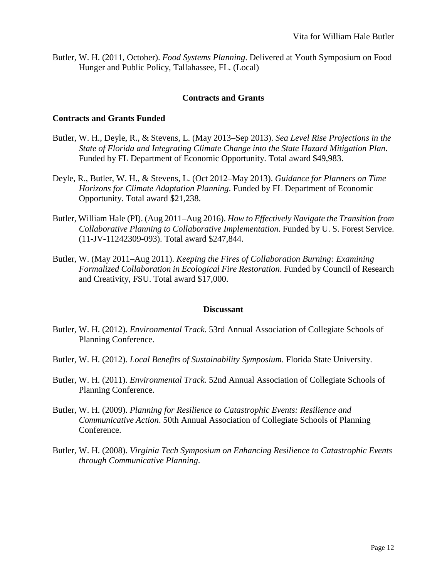Butler, W. H. (2011, October). *Food Systems Planning*. Delivered at Youth Symposium on Food Hunger and Public Policy, Tallahassee, FL. (Local)

#### **Contracts and Grants**

#### **Contracts and Grants Funded**

- Butler, W. H., Deyle, R., & Stevens, L. (May 2013–Sep 2013). *Sea Level Rise Projections in the State of Florida and Integrating Climate Change into the State Hazard Mitigation Plan*. Funded by FL Department of Economic Opportunity. Total award \$49,983.
- Deyle, R., Butler, W. H., & Stevens, L. (Oct 2012–May 2013). *Guidance for Planners on Time Horizons for Climate Adaptation Planning*. Funded by FL Department of Economic Opportunity. Total award \$21,238.
- Butler, William Hale (PI). (Aug 2011–Aug 2016). *How to Effectively Navigate the Transition from Collaborative Planning to Collaborative Implementation*. Funded by U. S. Forest Service. (11-JV-11242309-093). Total award \$247,844.
- Butler, W. (May 2011–Aug 2011). *Keeping the Fires of Collaboration Burning: Examining Formalized Collaboration in Ecological Fire Restoration*. Funded by Council of Research and Creativity, FSU. Total award \$17,000.

#### **Discussant**

- Butler, W. H. (2012). *Environmental Track*. 53rd Annual Association of Collegiate Schools of Planning Conference.
- Butler, W. H. (2012). *Local Benefits of Sustainability Symposium*. Florida State University.
- Butler, W. H. (2011). *Environmental Track*. 52nd Annual Association of Collegiate Schools of Planning Conference.
- Butler, W. H. (2009). *Planning for Resilience to Catastrophic Events: Resilience and Communicative Action*. 50th Annual Association of Collegiate Schools of Planning Conference.
- Butler, W. H. (2008). *Virginia Tech Symposium on Enhancing Resilience to Catastrophic Events through Communicative Planning*.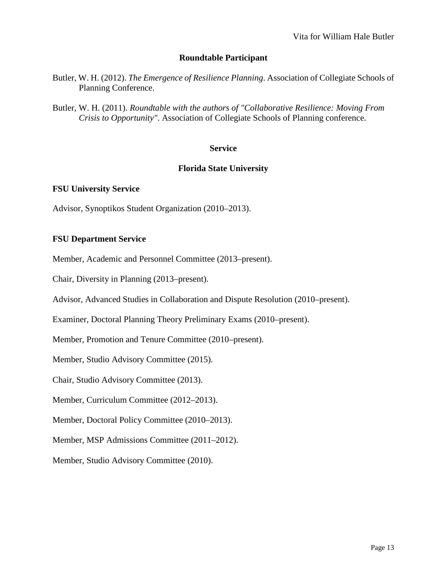# **Roundtable Participant**

- Butler, W. H. (2012). *The Emergence of Resilience Planning*. Association of Collegiate Schools of Planning Conference.
- Butler, W. H. (2011). *Roundtable with the authors of "Collaborative Resilience: Moving From Crisis to Opportunity"*. Association of Collegiate Schools of Planning conference.

#### **Service**

## **Florida State University**

#### **FSU University Service**

Advisor, Synoptikos Student Organization (2010–2013).

#### **FSU Department Service**

Member, Academic and Personnel Committee (2013–present).

Chair, Diversity in Planning (2013–present).

Advisor, Advanced Studies in Collaboration and Dispute Resolution (2010–present).

Examiner, Doctoral Planning Theory Preliminary Exams (2010–present).

Member, Promotion and Tenure Committee (2010–present).

Member, Studio Advisory Committee (2015).

Chair, Studio Advisory Committee (2013).

Member, Curriculum Committee (2012–2013).

Member, Doctoral Policy Committee (2010–2013).

Member, MSP Admissions Committee (2011–2012).

Member, Studio Advisory Committee (2010).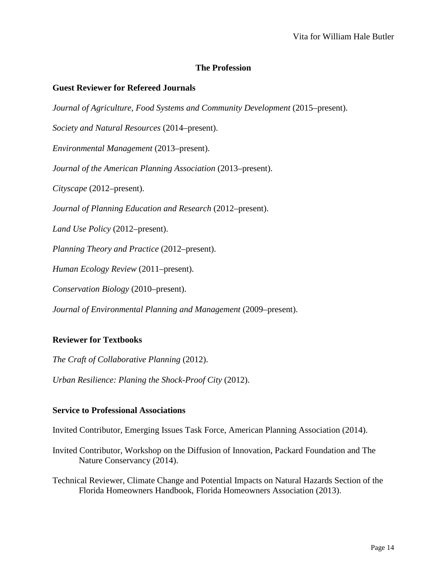# **The Profession**

#### **Guest Reviewer for Refereed Journals**

*Journal of Agriculture, Food Systems and Community Development* (2015–present).

*Society and Natural Resources* (2014–present).

*Environmental Management* (2013–present).

*Journal of the American Planning Association* (2013–present).

*Cityscape* (2012–present).

*Journal of Planning Education and Research* (2012–present).

*Land Use Policy* (2012–present).

*Planning Theory and Practice* (2012–present).

*Human Ecology Review* (2011–present).

*Conservation Biology* (2010–present).

*Journal of Environmental Planning and Management* (2009–present).

## **Reviewer for Textbooks**

*The Craft of Collaborative Planning* (2012).

*Urban Resilience: Planing the Shock-Proof City* (2012).

#### **Service to Professional Associations**

Invited Contributor, Emerging Issues Task Force, American Planning Association (2014).

Invited Contributor, Workshop on the Diffusion of Innovation, Packard Foundation and The Nature Conservancy (2014).

Technical Reviewer, Climate Change and Potential Impacts on Natural Hazards Section of the Florida Homeowners Handbook, Florida Homeowners Association (2013).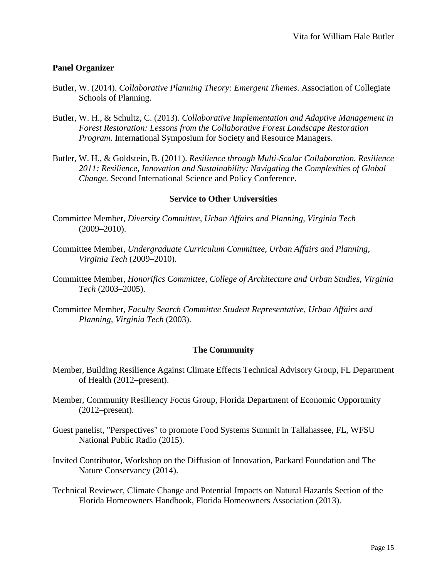# **Panel Organizer**

- Butler, W. (2014). *Collaborative Planning Theory: Emergent Themes*. Association of Collegiate Schools of Planning.
- Butler, W. H., & Schultz, C. (2013). *Collaborative Implementation and Adaptive Management in Forest Restoration: Lessons from the Collaborative Forest Landscape Restoration Program*. International Symposium for Society and Resource Managers.
- Butler, W. H., & Goldstein, B. (2011). *Resilience through Multi-Scalar Collaboration. Resilience 2011: Resilience, Innovation and Sustainability: Navigating the Complexities of Global Change*. Second International Science and Policy Conference.

## **Service to Other Universities**

- Committee Member, *Diversity Committee, Urban Affairs and Planning, Virginia Tech* (2009–2010).
- Committee Member, *Undergraduate Curriculum Committee, Urban Affairs and Planning, Virginia Tech* (2009–2010).
- Committee Member, *Honorifics Committee, College of Architecture and Urban Studies, Virginia Tech* (2003–2005).
- Committee Member, *Faculty Search Committee Student Representative, Urban Affairs and Planning, Virginia Tech* (2003).

## **The Community**

- Member, Building Resilience Against Climate Effects Technical Advisory Group, FL Department of Health (2012–present).
- Member, Community Resiliency Focus Group, Florida Department of Economic Opportunity (2012–present).
- Guest panelist, "Perspectives" to promote Food Systems Summit in Tallahassee, FL, WFSU National Public Radio (2015).
- Invited Contributor, Workshop on the Diffusion of Innovation, Packard Foundation and The Nature Conservancy (2014).
- Technical Reviewer, Climate Change and Potential Impacts on Natural Hazards Section of the Florida Homeowners Handbook, Florida Homeowners Association (2013).